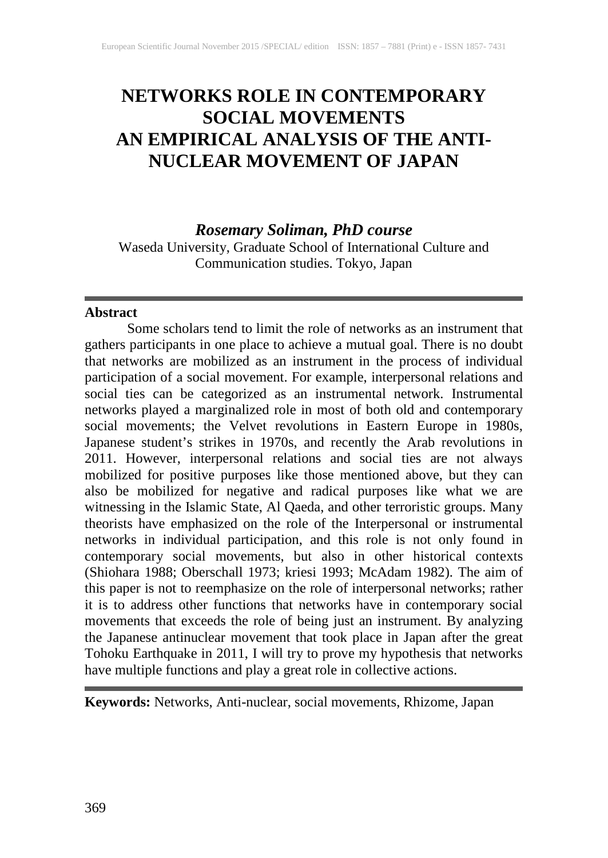# **NETWORKS ROLE IN CONTEMPORARY SOCIAL MOVEMENTS AN EMPIRICAL ANALYSIS OF THE ANTI-NUCLEAR MOVEMENT OF JAPAN**

*Rosemary Soliman, PhD course*

Waseda University, Graduate School of International Culture and Communication studies. Tokyo, Japan

## **Abstract**

Some scholars tend to limit the role of networks as an instrument that gathers participants in one place to achieve a mutual goal. There is no doubt that networks are mobilized as an instrument in the process of individual participation of a social movement. For example, interpersonal relations and social ties can be categorized as an instrumental network. Instrumental networks played a marginalized role in most of both old and contemporary social movements; the Velvet revolutions in Eastern Europe in 1980s, Japanese student's strikes in 1970s, and recently the Arab revolutions in 2011. However, interpersonal relations and social ties are not always mobilized for positive purposes like those mentioned above, but they can also be mobilized for negative and radical purposes like what we are witnessing in the Islamic State, Al Qaeda, and other terroristic groups. Many theorists have emphasized on the role of the Interpersonal or instrumental networks in individual participation, and this role is not only found in contemporary social movements, but also in other historical contexts (Shiohara 1988; Oberschall 1973; kriesi 1993; McAdam 1982). The aim of this paper is not to reemphasize on the role of interpersonal networks; rather it is to address other functions that networks have in contemporary social movements that exceeds the role of being just an instrument. By analyzing the Japanese antinuclear movement that took place in Japan after the great Tohoku Earthquake in 2011, I will try to prove my hypothesis that networks have multiple functions and play a great role in collective actions.

**Keywords:** Networks, Anti-nuclear, social movements, Rhizome, Japan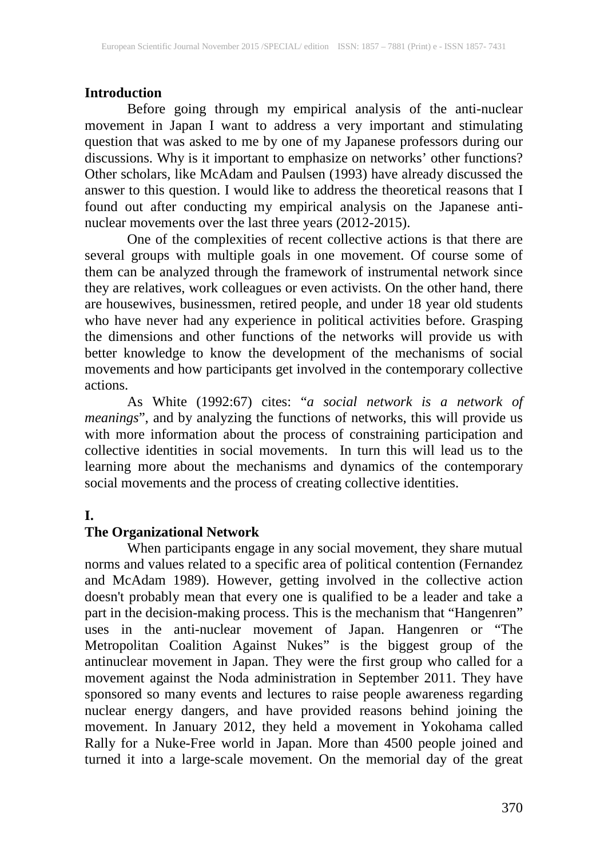# **Introduction**

Before going through my empirical analysis of the anti-nuclear movement in Japan I want to address a very important and stimulating question that was asked to me by one of my Japanese professors during our discussions. Why is it important to emphasize on networks' other functions? Other scholars, like McAdam and Paulsen (1993) have already discussed the answer to this question. I would like to address the theoretical reasons that I found out after conducting my empirical analysis on the Japanese antinuclear movements over the last three years (2012-2015).

One of the complexities of recent collective actions is that there are several groups with multiple goals in one movement. Of course some of them can be analyzed through the framework of instrumental network since they are relatives, work colleagues or even activists. On the other hand, there are housewives, businessmen, retired people, and under 18 year old students who have never had any experience in political activities before. Grasping the dimensions and other functions of the networks will provide us with better knowledge to know the development of the mechanisms of social movements and how participants get involved in the contemporary collective actions.

As White (1992:67) cites: "*a social network is a network of meanings*", and by analyzing the functions of networks, this will provide us with more information about the process of constraining participation and collective identities in social movements. In turn this will lead us to the learning more about the mechanisms and dynamics of the contemporary social movements and the process of creating collective identities.

# **I.**

# **The Organizational Network**

When participants engage in any social movement, they share mutual norms and values related to a specific area of political contention (Fernandez and McAdam 1989). However, getting involved in the collective action doesn't probably mean that every one is qualified to be a leader and take a part in the decision-making process. This is the mechanism that "Hangenren" uses in the anti-nuclear movement of Japan. Hangenren or "The Metropolitan Coalition Against Nukes" is the biggest group of the antinuclear movement in Japan. They were the first group who called for a movement against the Noda administration in September 2011. They have sponsored so many events and lectures to raise people awareness regarding nuclear energy dangers, and have provided reasons behind joining the movement. In January 2012, they held a movement in Yokohama called Rally for a Nuke-Free world in Japan. More than 4500 people joined and turned it into a large-scale movement. On the memorial day of the great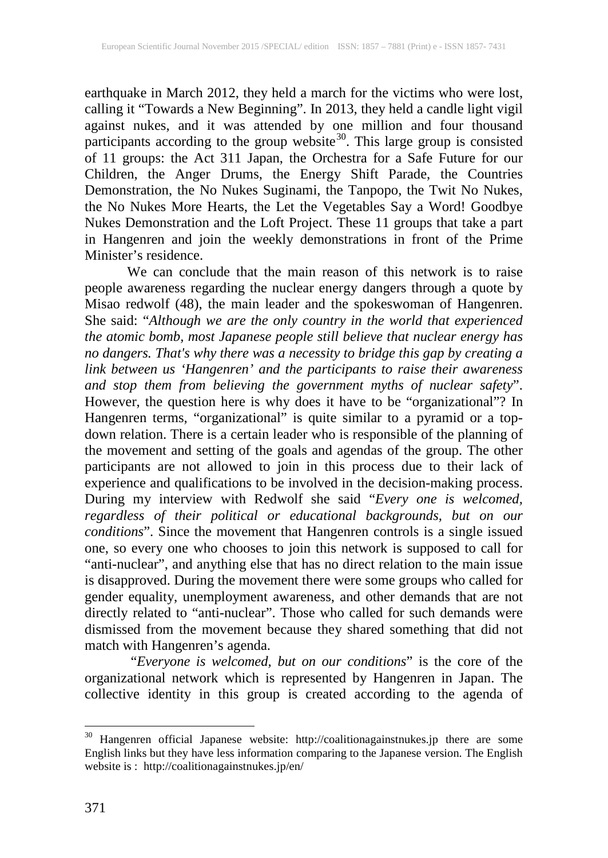earthquake in March 2012, they held a march for the victims who were lost, calling it "Towards a New Beginning". In 2013, they held a candle light vigil against nukes, and it was attended by one million and four thousand participants according to the group website<sup>[30](#page--1-0)</sup>. This large group is consisted of 11 groups: the Act 311 Japan, the Orchestra for a Safe Future for our Children, the Anger Drums, the Energy Shift Parade, the Countries Demonstration, the No Nukes Suginami, the Tanpopo, the Twit No Nukes, the No Nukes More Hearts, the Let the Vegetables Say a Word! Goodbye Nukes Demonstration and the Loft Project. These 11 groups that take a part in Hangenren and join the weekly demonstrations in front of the Prime Minister's residence.

We can conclude that the main reason of this network is to raise people awareness regarding the nuclear energy dangers through a quote by Misao redwolf (48), the main leader and the spokeswoman of Hangenren. She said: "*Although we are the only country in the world that experienced the atomic bomb, most Japanese people still believe that nuclear energy has no dangers. That's why there was a necessity to bridge this gap by creating a link between us 'Hangenren' and the participants to raise their awareness and stop them from believing the government myths of nuclear safety*". However, the question here is why does it have to be "organizational"? In Hangenren terms, "organizational" is quite similar to a pyramid or a topdown relation. There is a certain leader who is responsible of the planning of the movement and setting of the goals and agendas of the group. The other participants are not allowed to join in this process due to their lack of experience and qualifications to be involved in the decision-making process. During my interview with Redwolf she said "*Every one is welcomed, regardless of their political or educational backgrounds, but on our conditions*". Since the movement that Hangenren controls is a single issued one, so every one who chooses to join this network is supposed to call for "anti-nuclear", and anything else that has no direct relation to the main issue is disapproved. During the movement there were some groups who called for gender equality, unemployment awareness, and other demands that are not directly related to "anti-nuclear". Those who called for such demands were dismissed from the movement because they shared something that did not match with Hangenren's agenda.

"*Everyone is welcomed, but on our conditions*" is the core of the organizational network which is represented by Hangenren in Japan. The collective identity in this group is created according to the agenda of

<span id="page-2-0"></span><sup>30</sup> Hangenren official Japanese website: http://coalitionagainstnukes.jp there are some English links but they have less information comparing to the Japanese version. The English website is : http://coalitionagainstnukes.jp/en/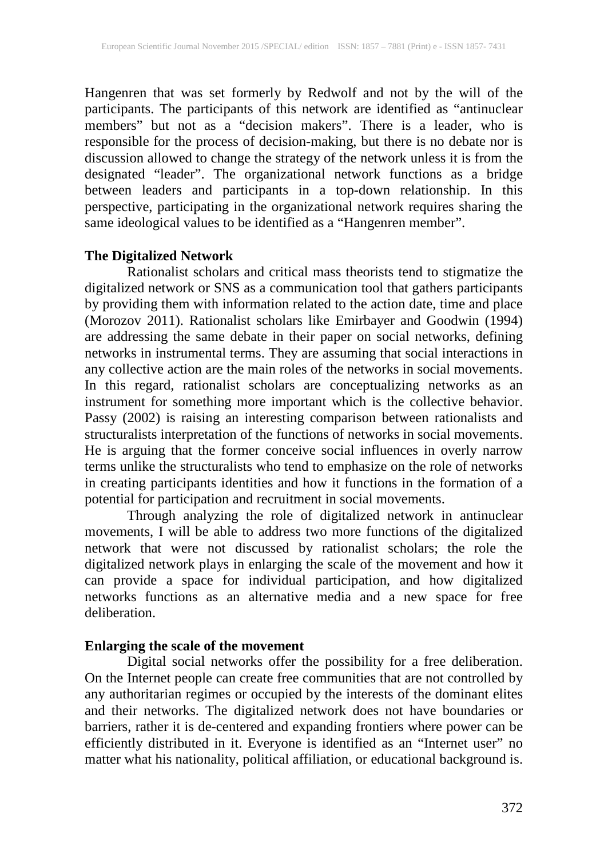Hangenren that was set formerly by Redwolf and not by the will of the participants. The participants of this network are identified as "antinuclear members" but not as a "decision makers". There is a leader, who is responsible for the process of decision-making, but there is no debate nor is discussion allowed to change the strategy of the network unless it is from the designated "leader". The organizational network functions as a bridge between leaders and participants in a top-down relationship. In this perspective, participating in the organizational network requires sharing the same ideological values to be identified as a "Hangenren member".

## **The Digitalized Network**

Rationalist scholars and critical mass theorists tend to stigmatize the digitalized network or SNS as a communication tool that gathers participants by providing them with information related to the action date, time and place (Morozov 2011). Rationalist scholars like Emirbayer and Goodwin (1994) are addressing the same debate in their paper on social networks, defining networks in instrumental terms. They are assuming that social interactions in any collective action are the main roles of the networks in social movements. In this regard, rationalist scholars are conceptualizing networks as an instrument for something more important which is the collective behavior. Passy (2002) is raising an interesting comparison between rationalists and structuralists interpretation of the functions of networks in social movements. He is arguing that the former conceive social influences in overly narrow terms unlike the structuralists who tend to emphasize on the role of networks in creating participants identities and how it functions in the formation of a potential for participation and recruitment in social movements.

Through analyzing the role of digitalized network in antinuclear movements, I will be able to address two more functions of the digitalized network that were not discussed by rationalist scholars; the role the digitalized network plays in enlarging the scale of the movement and how it can provide a space for individual participation, and how digitalized networks functions as an alternative media and a new space for free deliberation.

#### **Enlarging the scale of the movement**

Digital social networks offer the possibility for a free deliberation. On the Internet people can create free communities that are not controlled by any authoritarian regimes or occupied by the interests of the dominant elites and their networks. The digitalized network does not have boundaries or barriers, rather it is de-centered and expanding frontiers where power can be efficiently distributed in it. Everyone is identified as an "Internet user" no matter what his nationality, political affiliation, or educational background is.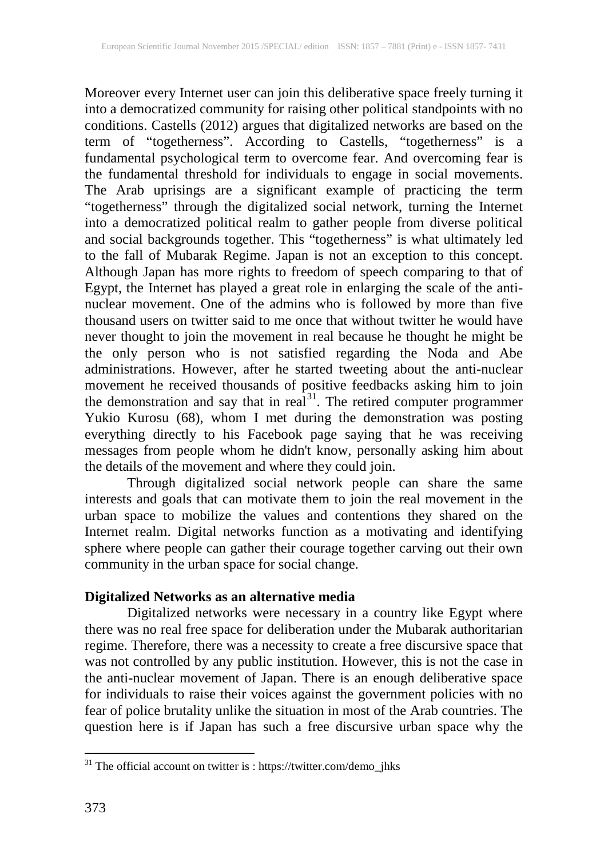Moreover every Internet user can join this deliberative space freely turning it into a democratized community for raising other political standpoints with no conditions. Castells (2012) argues that digitalized networks are based on the term of "togetherness". According to Castells, "togetherness" is a fundamental psychological term to overcome fear. And overcoming fear is the fundamental threshold for individuals to engage in social movements. The Arab uprisings are a significant example of practicing the term "togetherness" through the digitalized social network, turning the Internet into a democratized political realm to gather people from diverse political and social backgrounds together. This "togetherness" is what ultimately led to the fall of Mubarak Regime. Japan is not an exception to this concept. Although Japan has more rights to freedom of speech comparing to that of Egypt, the Internet has played a great role in enlarging the scale of the antinuclear movement. One of the admins who is followed by more than five thousand users on twitter said to me once that without twitter he would have never thought to join the movement in real because he thought he might be the only person who is not satisfied regarding the Noda and Abe administrations. However, after he started tweeting about the anti-nuclear movement he received thousands of positive feedbacks asking him to join the demonstration and say that in real $31$ . The retired computer programmer Yukio Kurosu (68), whom I met during the demonstration was posting everything directly to his Facebook page saying that he was receiving messages from people whom he didn't know, personally asking him about the details of the movement and where they could join.

Through digitalized social network people can share the same interests and goals that can motivate them to join the real movement in the urban space to mobilize the values and contentions they shared on the Internet realm. Digital networks function as a motivating and identifying sphere where people can gather their courage together carving out their own community in the urban space for social change.

## **Digitalized Networks as an alternative media**

Digitalized networks were necessary in a country like Egypt where there was no real free space for deliberation under the Mubarak authoritarian regime. Therefore, there was a necessity to create a free discursive space that was not controlled by any public institution. However, this is not the case in the anti-nuclear movement of Japan. There is an enough deliberative space for individuals to raise their voices against the government policies with no fear of police brutality unlike the situation in most of the Arab countries. The question here is if Japan has such a free discursive urban space why the

<span id="page-4-0"></span> $31$  The official account on twitter is : https://twitter.com/demo\_jhks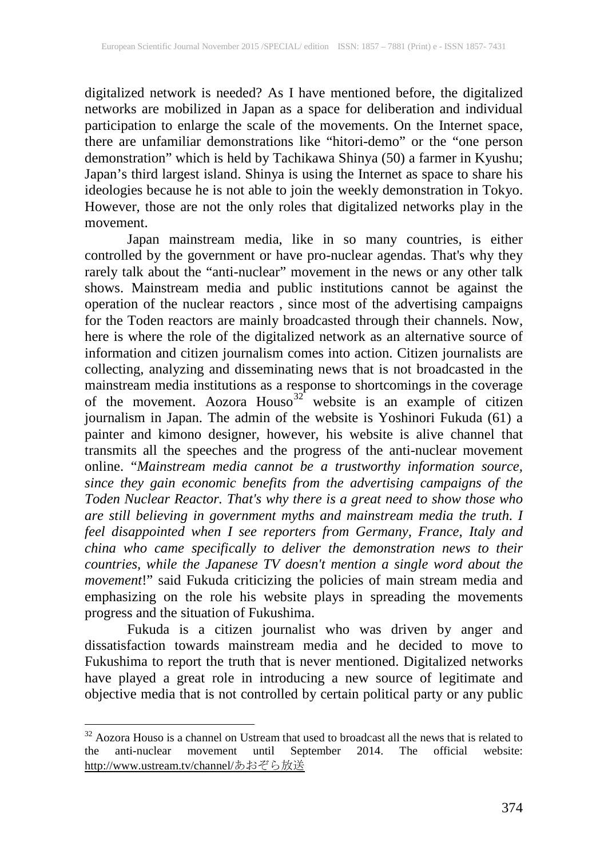digitalized network is needed? As I have mentioned before, the digitalized networks are mobilized in Japan as a space for deliberation and individual participation to enlarge the scale of the movements. On the Internet space, there are unfamiliar demonstrations like "hitori-demo" or the "one person demonstration" which is held by Tachikawa Shinya (50) a farmer in Kyushu; Japan's third largest island. Shinya is using the Internet as space to share his ideologies because he is not able to join the weekly demonstration in Tokyo. However, those are not the only roles that digitalized networks play in the movement.

Japan mainstream media, like in so many countries, is either controlled by the government or have pro-nuclear agendas. That's why they rarely talk about the "anti-nuclear" movement in the news or any other talk shows. Mainstream media and public institutions cannot be against the operation of the nuclear reactors , since most of the advertising campaigns for the Toden reactors are mainly broadcasted through their channels. Now, here is where the role of the digitalized network as an alternative source of information and citizen journalism comes into action. Citizen journalists are collecting, analyzing and disseminating news that is not broadcasted in the mainstream media institutions as a response to shortcomings in the coverage of the movement. Aozora Houso<sup>[32](#page-4-0)</sup> website is an example of citizen journalism in Japan. The admin of the website is Yoshinori Fukuda (61) a painter and kimono designer, however, his website is alive channel that transmits all the speeches and the progress of the anti-nuclear movement online. "*Mainstream media cannot be a trustworthy information source, since they gain economic benefits from the advertising campaigns of the Toden Nuclear Reactor. That's why there is a great need to show those who are still believing in government myths and mainstream media the truth*. *I feel disappointed when I see reporters from Germany, France, Italy and china who came specifically to deliver the demonstration news to their countries, while the Japanese TV doesn't mention a single word about the movement*!" said Fukuda criticizing the policies of main stream media and emphasizing on the role his website plays in spreading the movements progress and the situation of Fukushima.

Fukuda is a citizen journalist who was driven by anger and dissatisfaction towards mainstream media and he decided to move to Fukushima to report the truth that is never mentioned. Digitalized networks have played a great role in introducing a new source of legitimate and objective media that is not controlled by certain political party or any public

 $32$  Aozora Houso is a channel on Ustream that used to broadcast all the news that is related to the anti-nuclear movement until September 2014. The official website: the anti-nuclear movement until September 2014. The official website: http://www.ustream.tv/channel/あおぞら放送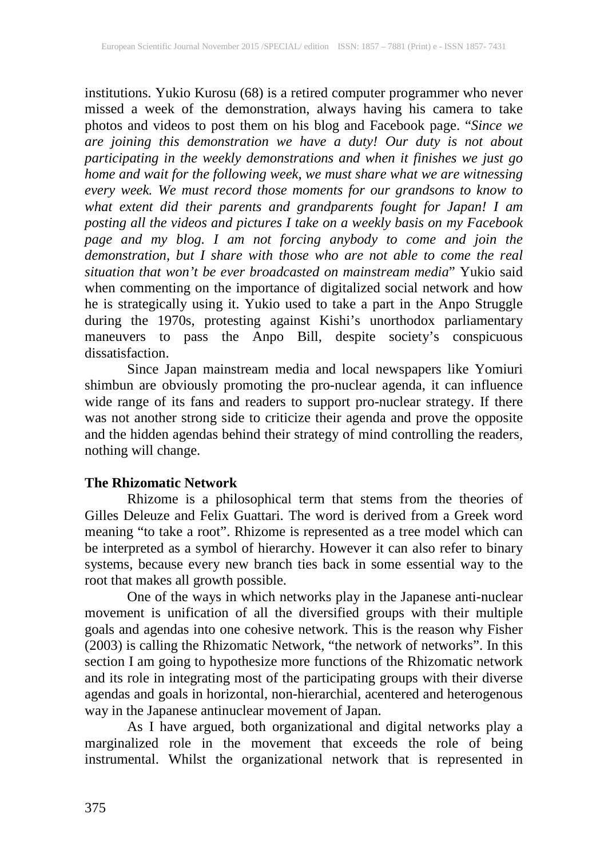institutions. Yukio Kurosu (68) is a retired computer programmer who never missed a week of the demonstration, always having his camera to take photos and videos to post them on his blog and Facebook page. "*Since we are joining this demonstration we have a duty! Our duty is not about participating in the weekly demonstrations and when it finishes we just go home and wait for the following week, we must share what we are witnessing every week. We must record those moments for our grandsons to know to what extent did their parents and grandparents fought for Japan! I am posting all the videos and pictures I take on a weekly basis on my Facebook page and my blog. I am not forcing anybody to come and join the demonstration, but I share with those who are not able to come the real situation that won't be ever broadcasted on mainstream media*" Yukio said when commenting on the importance of digitalized social network and how he is strategically using it. Yukio used to take a part in the Anpo Struggle during the 1970s, protesting against Kishi's unorthodox parliamentary maneuvers to pass the Anpo Bill, despite society's conspicuous dissatisfaction.

Since Japan mainstream media and local newspapers like Yomiuri shimbun are obviously promoting the pro-nuclear agenda, it can influence wide range of its fans and readers to support pro-nuclear strategy. If there was not another strong side to criticize their agenda and prove the opposite and the hidden agendas behind their strategy of mind controlling the readers, nothing will change.

## **The Rhizomatic Network**

Rhizome is a philosophical term that stems from the theories of Gilles Deleuze and Felix Guattari. The word is derived from a Greek word meaning "to take a root". Rhizome is represented as a tree model which can be interpreted as a symbol of hierarchy. However it can also refer to binary systems, because every new branch ties back in some essential way to the root that makes all growth possible.

One of the ways in which networks play in the Japanese anti-nuclear movement is unification of all the diversified groups with their multiple goals and agendas into one cohesive network. This is the reason why Fisher (2003) is calling the Rhizomatic Network, "the network of networks". In this section I am going to hypothesize more functions of the Rhizomatic network and its role in integrating most of the participating groups with their diverse agendas and goals in horizontal, non-hierarchial, acentered and heterogenous way in the Japanese antinuclear movement of Japan.

As I have argued, both organizational and digital networks play a marginalized role in the movement that exceeds the role of being instrumental. Whilst the organizational network that is represented in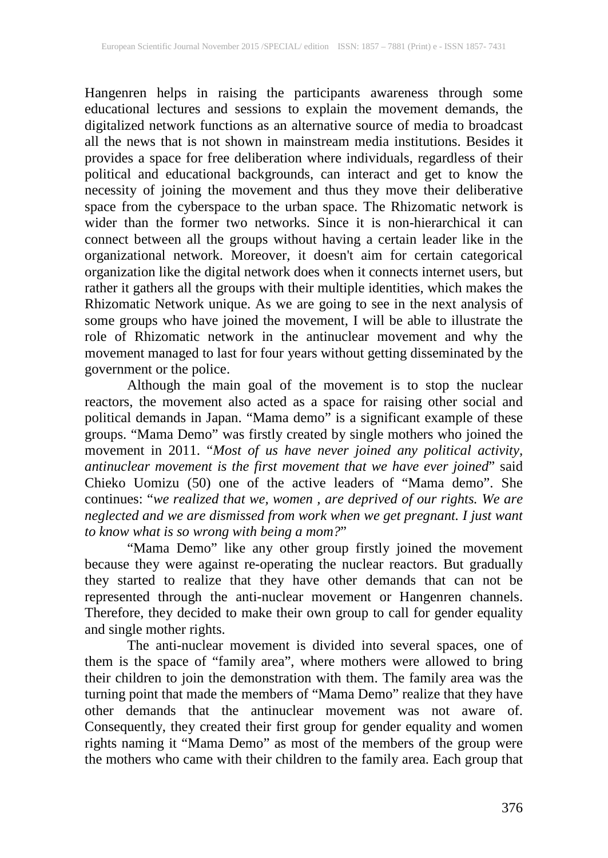Hangenren helps in raising the participants awareness through some educational lectures and sessions to explain the movement demands, the digitalized network functions as an alternative source of media to broadcast all the news that is not shown in mainstream media institutions. Besides it provides a space for free deliberation where individuals, regardless of their political and educational backgrounds, can interact and get to know the necessity of joining the movement and thus they move their deliberative space from the cyberspace to the urban space. The Rhizomatic network is wider than the former two networks. Since it is non-hierarchical it can connect between all the groups without having a certain leader like in the organizational network. Moreover, it doesn't aim for certain categorical organization like the digital network does when it connects internet users, but rather it gathers all the groups with their multiple identities, which makes the Rhizomatic Network unique. As we are going to see in the next analysis of some groups who have joined the movement, I will be able to illustrate the role of Rhizomatic network in the antinuclear movement and why the movement managed to last for four years without getting disseminated by the government or the police.

Although the main goal of the movement is to stop the nuclear reactors, the movement also acted as a space for raising other social and political demands in Japan. "Mama demo" is a significant example of these groups. "Mama Demo" was firstly created by single mothers who joined the movement in 2011. "*Most of us have never joined any political activity, antinuclear movement is the first movement that we have ever joined*" said Chieko Uomizu (50) one of the active leaders of "Mama demo". She continues: "*we realized that we, women , are deprived of our rights. We are neglected and we are dismissed from work when we get pregnant. I just want to know what is so wrong with being a mom?*"

"Mama Demo" like any other group firstly joined the movement because they were against re-operating the nuclear reactors. But gradually they started to realize that they have other demands that can not be represented through the anti-nuclear movement or Hangenren channels. Therefore, they decided to make their own group to call for gender equality and single mother rights.

The anti-nuclear movement is divided into several spaces, one of them is the space of "family area", where mothers were allowed to bring their children to join the demonstration with them. The family area was the turning point that made the members of "Mama Demo" realize that they have other demands that the antinuclear movement was not aware of. Consequently, they created their first group for gender equality and women rights naming it "Mama Demo" as most of the members of the group were the mothers who came with their children to the family area. Each group that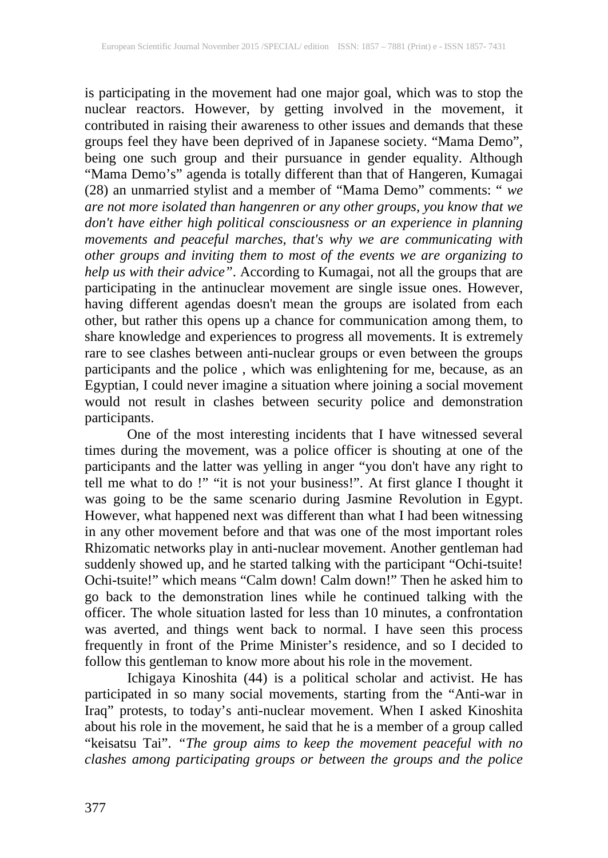is participating in the movement had one major goal, which was to stop the nuclear reactors. However, by getting involved in the movement, it contributed in raising their awareness to other issues and demands that these groups feel they have been deprived of in Japanese society. "Mama Demo", being one such group and their pursuance in gender equality. Although "Mama Demo's" agenda is totally different than that of Hangeren, Kumagai (28) an unmarried stylist and a member of "Mama Demo" comments: " *we are not more isolated than hangenren or any other groups, you know that we don't have either high political consciousness or an experience in planning movements and peaceful marches, that's why we are communicating with other groups and inviting them to most of the events we are organizing to help us with their advice"*. According to Kumagai, not all the groups that are participating in the antinuclear movement are single issue ones. However, having different agendas doesn't mean the groups are isolated from each other, but rather this opens up a chance for communication among them, to share knowledge and experiences to progress all movements. It is extremely rare to see clashes between anti-nuclear groups or even between the groups participants and the police , which was enlightening for me, because, as an Egyptian, I could never imagine a situation where joining a social movement would not result in clashes between security police and demonstration participants.

One of the most interesting incidents that I have witnessed several times during the movement, was a police officer is shouting at one of the participants and the latter was yelling in anger "you don't have any right to tell me what to do !" "it is not your business!". At first glance I thought it was going to be the same scenario during Jasmine Revolution in Egypt. However, what happened next was different than what I had been witnessing in any other movement before and that was one of the most important roles Rhizomatic networks play in anti-nuclear movement. Another gentleman had suddenly showed up, and he started talking with the participant "Ochi-tsuite! Ochi-tsuite!" which means "Calm down! Calm down!" Then he asked him to go back to the demonstration lines while he continued talking with the officer. The whole situation lasted for less than 10 minutes, a confrontation was averted, and things went back to normal. I have seen this process frequently in front of the Prime Minister's residence, and so I decided to follow this gentleman to know more about his role in the movement.

Ichigaya Kinoshita (44) is a political scholar and activist. He has participated in so many social movements, starting from the "Anti-war in Iraq" protests, to today's anti-nuclear movement. When I asked Kinoshita about his role in the movement, he said that he is a member of a group called "keisatsu Tai". *"The group aims to keep the movement peaceful with no clashes among participating groups or between the groups and the police*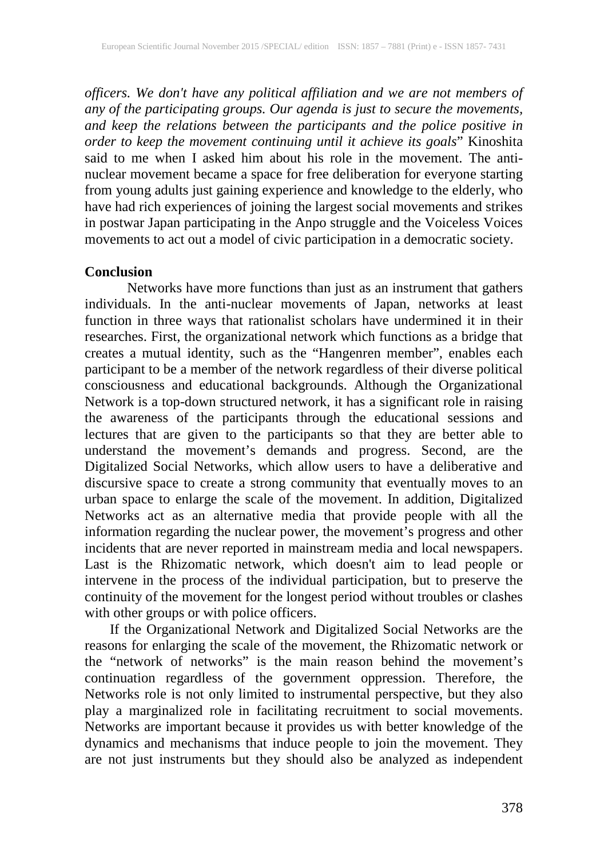*officers. We don't have any political affiliation and we are not members of any of the participating groups. Our agenda is just to secure the movements, and keep the relations between the participants and the police positive in order to keep the movement continuing until it achieve its goals*" Kinoshita said to me when I asked him about his role in the movement. The antinuclear movement became a space for free deliberation for everyone starting from young adults just gaining experience and knowledge to the elderly, who have had rich experiences of joining the largest social movements and strikes in postwar Japan participating in the Anpo struggle and the Voiceless Voices movements to act out a model of civic participation in a democratic society.

#### **Conclusion**

Networks have more functions than just as an instrument that gathers individuals. In the anti-nuclear movements of Japan, networks at least function in three ways that rationalist scholars have undermined it in their researches. First, the organizational network which functions as a bridge that creates a mutual identity, such as the "Hangenren member", enables each participant to be a member of the network regardless of their diverse political consciousness and educational backgrounds. Although the Organizational Network is a top-down structured network, it has a significant role in raising the awareness of the participants through the educational sessions and lectures that are given to the participants so that they are better able to understand the movement's demands and progress. Second, are the Digitalized Social Networks, which allow users to have a deliberative and discursive space to create a strong community that eventually moves to an urban space to enlarge the scale of the movement. In addition, Digitalized Networks act as an alternative media that provide people with all the information regarding the nuclear power, the movement's progress and other incidents that are never reported in mainstream media and local newspapers. Last is the Rhizomatic network, which doesn't aim to lead people or intervene in the process of the individual participation, but to preserve the continuity of the movement for the longest period without troubles or clashes with other groups or with police officers.

If the Organizational Network and Digitalized Social Networks are the reasons for enlarging the scale of the movement, the Rhizomatic network or the "network of networks" is the main reason behind the movement's continuation regardless of the government oppression. Therefore, the Networks role is not only limited to instrumental perspective, but they also play a marginalized role in facilitating recruitment to social movements. Networks are important because it provides us with better knowledge of the dynamics and mechanisms that induce people to join the movement. They are not just instruments but they should also be analyzed as independent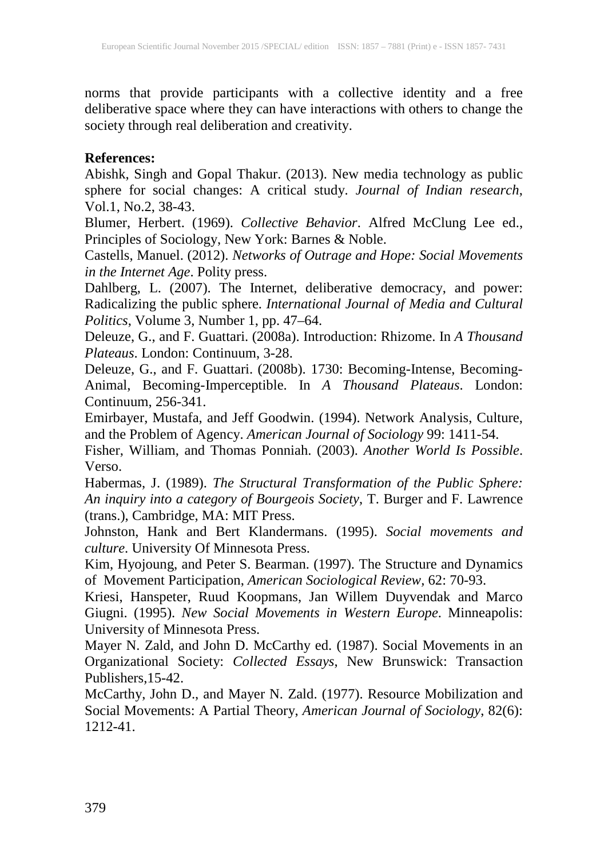norms that provide participants with a collective identity and a free deliberative space where they can have interactions with others to change the society through real deliberation and creativity.

## **References:**

Abishk, Singh and Gopal Thakur. (2013). New media technology as public sphere for social changes: A critical study. *Journal of Indian research*, Vol.1, No.2, 38-43.

Blumer, Herbert. (1969). *Collective Behavior*. Alfred McClung Lee ed., Principles of Sociology, New York: Barnes & Noble.

Castells, Manuel. (2012). *Networks of Outrage and Hope: Social Movements in the Internet Age*. Polity press.

Dahlberg, L. (2007). The Internet, deliberative democracy, and power: Radicalizing the public sphere. *International Journal of Media and Cultural Politics*, Volume 3, Number 1, pp. 47–64.

Deleuze, G., and F. Guattari. (2008a). Introduction: Rhizome. In *A Thousand Plateaus*. London: Continuum, 3-28.

Deleuze, G., and F. Guattari. (2008b). 1730: Becoming-Intense, Becoming-Animal, Becoming-Imperceptible. In *A Thousand Plateaus*. London: Continuum, 256-341.

Emirbayer, Mustafa, and Jeff Goodwin. (1994). Network Analysis, Culture, and the Problem of Agency. *American Journal of Sociology* 99: 1411-54.

Fisher, William, and Thomas Ponniah. (2003). *Another World Is Possible*. Verso.

Habermas, J. (1989). *The Structural Transformation of the Public Sphere: An inquiry into a category of Bourgeois Society*, T. Burger and F. Lawrence (trans.), Cambridge, MA: MIT Press.

Johnston, Hank and Bert Klandermans. (1995). *Social movements and culture*. University Of Minnesota Press.

Kim, Hyojoung, and Peter S. Bearman. (1997). The Structure and Dynamics of Movement Participation, *American Sociological Review,* 62: 70-93.

Kriesi, Hanspeter, Ruud Koopmans, Jan Willem Duyvendak and Marco Giugni. (1995). *New Social Movements in Western Europe*. Minneapolis: University of Minnesota Press.

Mayer N. Zald, and John D. McCarthy ed. (1987). Social Movements in an Organizational Society: *Collected Essays*, New Brunswick: Transaction Publishers,15-42.

McCarthy, John D., and Mayer N. Zald. (1977). Resource Mobilization and Social Movements: A Partial Theory, *American Journal of Sociology*, 82(6): 1212-41.